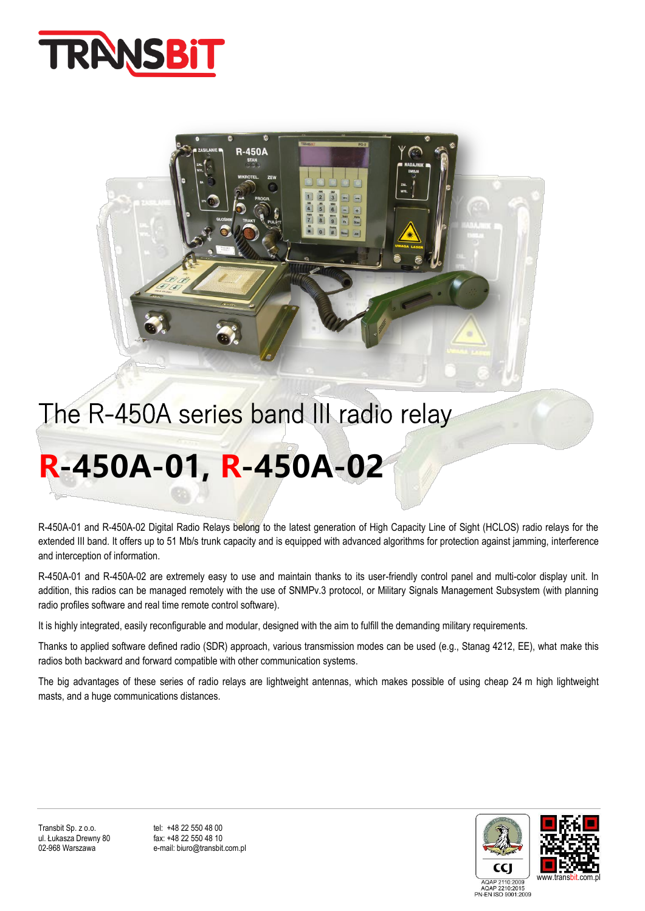

## The R-450A series band III radio relay

**R-450A** 

# **R-450A-01, R-450A-02**

R-450A-01 and R-450A-02 Digital Radio Relays belong to the latest generation of High Capacity Line of Sight (HCLOS) radio relays for the extended III band. It offers up to 51 Mb/s trunk capacity and is equipped with advanced algorithms for protection against jamming, interference and interception of information.

R-450A-01 and R-450A-02 are extremely easy to use and maintain thanks to its user-friendly control panel and multi-color display unit. In addition, this radios can be managed remotely with the use of SNMPv.3 protocol, or Military Signals Management Subsystem (with planning radio profiles software and real time remote control software).

It is highly integrated, easily reconfigurable and modular, designed with the aim to fulfill the demanding military requirements.

Thanks to applied software defined radio (SDR) approach, various transmission modes can be used (e.g., Stanag 4212, EE), what make this radios both backward and forward compatible with other communication systems.

The big advantages of these series of radio relays are lightweight antennas, which makes possible of using cheap 24 m high lightweight masts, and a huge communications distances.



e-mail: biuro@transbit.com.pl

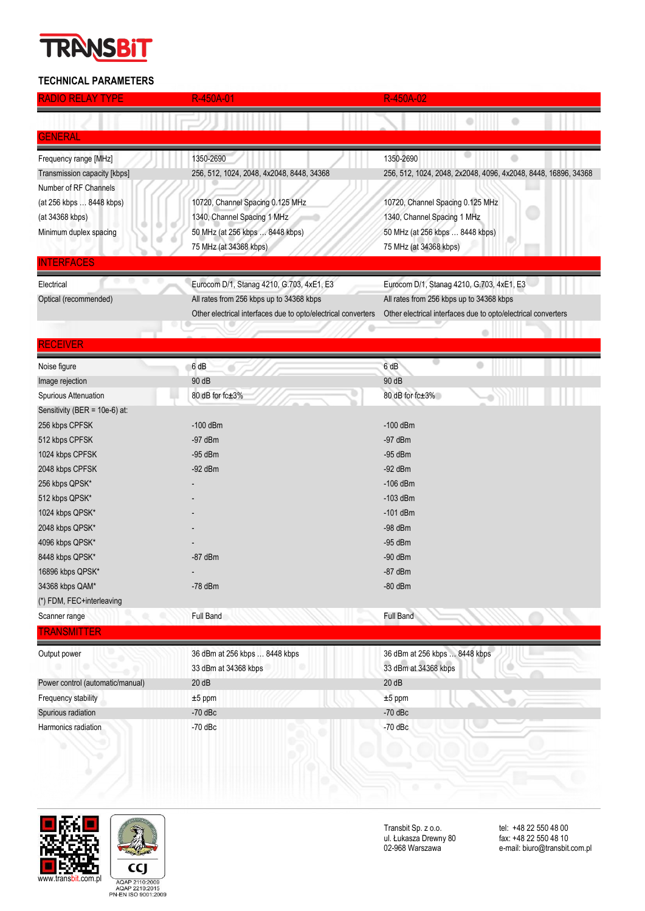### **TRANSB**

### **TECHNICAL PARAMETERS**

| <b>RADIO RELAY TYPE</b>          | R-450A-01                                                     | R-450A-02                                                      |
|----------------------------------|---------------------------------------------------------------|----------------------------------------------------------------|
|                                  |                                                               |                                                                |
| GENERAL                          |                                                               |                                                                |
| Frequency range [MHz]            | 1350-2690                                                     | ۰<br>1350-2690                                                 |
| Transmission capacity [kbps]     | 256, 512, 1024, 2048, 4x2048, 8448, 34368                     | 256, 512, 1024, 2048, 2x2048, 4096, 4x2048, 8448, 16896, 34368 |
| Number of RF Channels            |                                                               |                                                                |
| (at 256 kbps  8448 kbps)         | 10720, Channel Spacing 0.125 MHz                              | 10720, Channel Spacing 0.125 MHz                               |
| (at 34368 kbps)                  | 1340, Channel Spacing 1 MHz                                   | 1340, Channel Spacing 1 MHz                                    |
| Minimum duplex spacing           | 50 MHz (at 256 kbps  8448 kbps)                               | 50 MHz (at 256 kbps  8448 kbps)                                |
|                                  | 75 MHz (at 34368 kbps)                                        | 75 MHz (at 34368 kbps)                                         |
| <b>TERFACES</b>                  |                                                               |                                                                |
| Electrical                       | Eurocom D/1, Stanag 4210, G.703, 4xE1, E3                     | Eurocom D/1, Stanag 4210, G.703, 4xE1, E3                      |
| Optical (recommended)            | All rates from 256 kbps up to 34368 kbps                      | All rates from 256 kbps up to 34368 kbps                       |
|                                  | Other electrical interfaces due to opto/electrical converters | Other electrical interfaces due to opto/electrical converters  |
|                                  |                                                               |                                                                |
| RECEIVER                         |                                                               |                                                                |
| Noise figure                     | 6 dB                                                          | 6 dB                                                           |
| Image rejection                  | 90 dB                                                         | 90 dB                                                          |
| Spurious Attenuation             | 80 dB for fc±3%                                               | 80 dB for fc±3%                                                |
| Sensitivity (BER = 10e-6) at:    |                                                               |                                                                |
| 256 kbps CPFSK                   | $-100$ dBm                                                    | $-100$ dBm                                                     |
| 512 kbps CPFSK                   | $-97$ dBm                                                     | $-97$ dBm                                                      |
| 1024 kbps CPFSK                  | $-95$ dBm                                                     | $-95$ dBm                                                      |
| 2048 kbps CPFSK                  | $-92$ dBm                                                     | $-92$ dBm                                                      |
| 256 kbps QPSK*                   |                                                               | $-106$ dBm                                                     |
| 512 kbps QPSK*                   |                                                               | $-103$ dBm                                                     |
| 1024 kbps QPSK*                  |                                                               | $-101$ dBm                                                     |
| 2048 kbps QPSK*                  |                                                               | $-98$ dBm                                                      |
| 4096 kbps QPSK*                  |                                                               | $-95$ dBm                                                      |
| 8448 kbps QPSK*                  | $-87$ dBm                                                     | $-90$ dBm                                                      |
| 16896 kbps QPSK*                 |                                                               | $-87$ dBm                                                      |
| 34368 kbps QAM*                  | $-78$ dBm                                                     | $-80$ dBm                                                      |
| (*) FDM, FEC+interleaving        |                                                               |                                                                |
| Scanner range                    | Full Band                                                     | <b>Full Band</b>                                               |
| <b>TRANSMITTER</b>               |                                                               |                                                                |
| Output power                     | 36 dBm at 256 kbps  8448 kbps                                 | 36 dBm at 256 kbps  8448 kbps                                  |
|                                  | 33 dBm at 34368 kbps                                          | 33 dBm at 34368 kbps                                           |
| Power control (automatic/manual) | 20dB                                                          | 20dB                                                           |
| Frequency stability              | $±5$ ppm                                                      | $±5$ ppm                                                       |
| Spurious radiation               | $-70$ dBc                                                     | $-70$ dBc                                                      |
| Harmonics radiation              | $-70$ dBc                                                     | $-70$ dBc                                                      |





Transbit Sp. z o.o. tel: +48 22 550 48 00 ul. Łukasza Drewny 80 fax: +48 22 550 48 10

tel: +48 22 550 48 00<br>fax: +48 22 550 48 10<br>e-mail: biuro@transbit.com.pl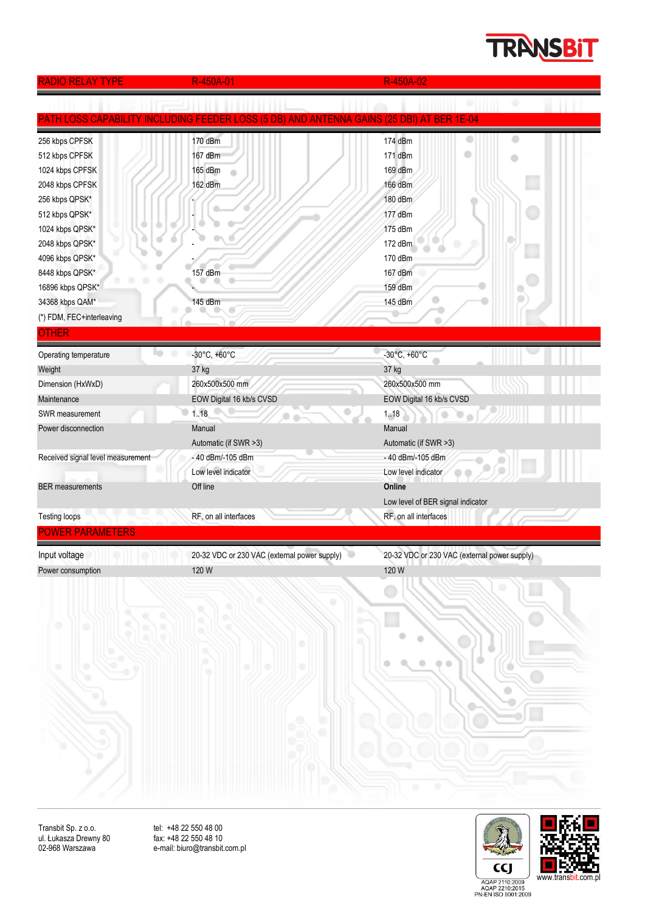### **TRANSBIT**

| <b>RADIO RELAY TYPE</b>            | R-450A-01                                                                   | R-450A-02                                                  |
|------------------------------------|-----------------------------------------------------------------------------|------------------------------------------------------------|
|                                    |                                                                             |                                                            |
| <u>ATH LOSS CAPABILIT</u>          | <b>INCLUDING FEEDER LOSS (5 DB) AND ANTENNA GAINS (25 DBI) AT BER 1E-04</b> |                                                            |
| 256 kbps CPFSK                     | 170 dBm                                                                     | Ð<br>174 dBm                                               |
| 512 kbps CPFSK                     | 167 dBm                                                                     | 171 dBm                                                    |
| 1024 kbps CPFSK                    | 165 dBm                                                                     | o<br>169 dBm                                               |
| 2048 kbps CPFSK                    | 162 dBm                                                                     | 166 dBm                                                    |
| 256 kbps QPSK*                     |                                                                             | 180 dBm                                                    |
| 512 kbps QPSK*                     |                                                                             | 177 dBm                                                    |
| 1024 kbps QPSK*                    |                                                                             | 175 dBm                                                    |
| 2048 kbps QPSK*                    |                                                                             | 172 dBm                                                    |
| 4096 kbps QPSK*                    |                                                                             | 170 dBm                                                    |
| 8448 kbps QPSK*                    | 157 dBm                                                                     | 167 dBm                                                    |
| 16896 kbps QPSK*                   |                                                                             | 159 dBm                                                    |
| 34368 kbps QAM*                    | 145 dBm                                                                     | 145 dBm                                                    |
| (*) FDM, FEC+interleaving          |                                                                             |                                                            |
| OTHER                              |                                                                             |                                                            |
| ٠                                  | $-30^{\circ}$ C, $+60^{\circ}$ C                                            | -30°C, +60°C                                               |
| Operating temperature              |                                                                             |                                                            |
| Weight                             | 37 kg<br>260x500x500 mm                                                     | 37 kg                                                      |
| Dimension (HxWxD)                  |                                                                             | 260x500x500 mm                                             |
| Maintenance                        | EOW Digital 16 kb/s CVSD                                                    | EOW Digital 16 kb/s CVSD                                   |
| SWR measurement                    | 1.18                                                                        | 1.18<br>$\sum_{i=1}^{n}$<br>۰                              |
| Power disconnection                | Manual                                                                      | Manual                                                     |
|                                    | Automatic (if SWR >3)                                                       | Automatic (if SWR >3)                                      |
| Received signal level measurement  | - 40 dBm/-105 dBm                                                           | - 40 dBm/-105 dBm                                          |
|                                    | Low level indicator                                                         | Low level indicator                                        |
| <b>BER</b> measurements            | Off line                                                                    | Online                                                     |
| <b>Testing loops</b>               | RF, on all interfaces                                                       | Low level of BER signal indicator<br>RF, on all interfaces |
| <b>POWER PARAMETERS</b>            |                                                                             |                                                            |
|                                    |                                                                             |                                                            |
| Input voltage<br>Power consumption | 20-32 VDC or 230 VAC (external power supply)                                | 20-32 VDC or 230 VAC (external power supply)               |
|                                    | 120W                                                                        | 120 W                                                      |
|                                    |                                                                             |                                                            |
|                                    | ۰                                                                           |                                                            |
| ۹<br>Q<br>0                        |                                                                             |                                                            |
| ۰                                  | ۰                                                                           |                                                            |
|                                    |                                                                             |                                                            |
| 73                                 | ۰                                                                           | ۰<br>$\circ$                                               |
|                                    |                                                                             |                                                            |
|                                    |                                                                             | o                                                          |
|                                    |                                                                             |                                                            |
|                                    |                                                                             |                                                            |
|                                    |                                                                             |                                                            |
|                                    |                                                                             |                                                            |
|                                    |                                                                             |                                                            |
|                                    |                                                                             |                                                            |
|                                    |                                                                             | ٠<br>٠                                                     |
|                                    |                                                                             |                                                            |

Transbit Sp. z o.o. tel: +48 22 550 48 00 ul. Łukasza Drewny 80 fax: +48 22 550 48 10

02-968 Warszawa e-mail: biuro@transbit.com.pl